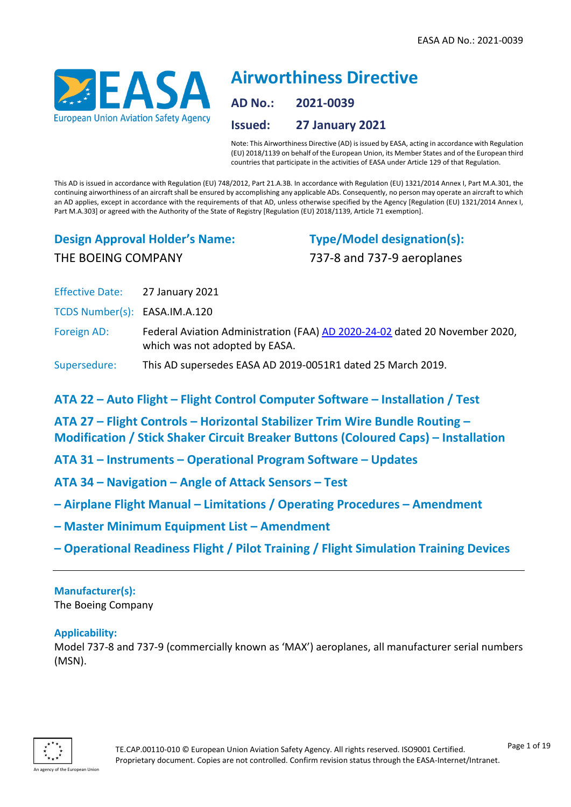

# **Airworthiness Directive AD No.: 2021-0039 Issued: 27 January 2021**

Note: This Airworthiness Directive (AD) is issued by EASA, acting in accordance with Regulation (EU) 2018/1139 on behalf of the European Union, its Member States and of the European third countries that participate in the activities of EASA under Article 129 of that Regulation.

This AD is issued in accordance with Regulation (EU) 748/2012, Part 21.A.3B. In accordance with Regulation (EU) 1321/2014 Annex I, Part M.A.301, the continuing airworthiness of an aircraft shall be ensured by accomplishing any applicable ADs. Consequently, no person may operate an aircraft to which an AD applies, except in accordance with the requirements of that AD, unless otherwise specified by the Agency [Regulation (EU) 1321/2014 Annex I, Part M.A.303] or agreed with the Authority of the State of Registry [Regulation (EU) 2018/1139, Article 71 exemption].

# **Design Approval Holder's Name:** THE BOEING COMPANY

**Type/Model designation(s):** 737-8 and 737-9 aeroplanes

Effective Date: 27 January 2021

TCDS Number(s): EASA.IM.A.120

Foreign AD: Federal Aviation Administration (FAA) [AD 2020-24-02](https://ad.easa.europa.eu/ad/US-2020-24-02) dated 20 November 2020, which was not adopted by EASA.

# Supersedure: This AD supersedes EASA AD 2019-0051R1 dated 25 March 2019.

**ATA 22 – Auto Flight – Flight Control Computer Software – Installation / Test**

**ATA 27 – Flight Controls – Horizontal Stabilizer Trim Wire Bundle Routing – Modification / Stick Shaker Circuit Breaker Buttons (Coloured Caps) – Installation**

**ATA 31 – Instruments – Operational Program Software – Updates**

- **ATA 34 – Navigation – Angle of Attack Sensors – Test**
- **– Airplane Flight Manual – Limitations / Operating Procedures – Amendment**
- **– Master Minimum Equipment List – Amendment**
- **– Operational Readiness Flight / Pilot Training / Flight Simulation Training Devices**

### **Manufacturer(s):** The Boeing Company

# **Applicability:**

Model 737-8 and 737-9 (commercially known as 'MAX') aeroplanes, all manufacturer serial numbers (MSN).

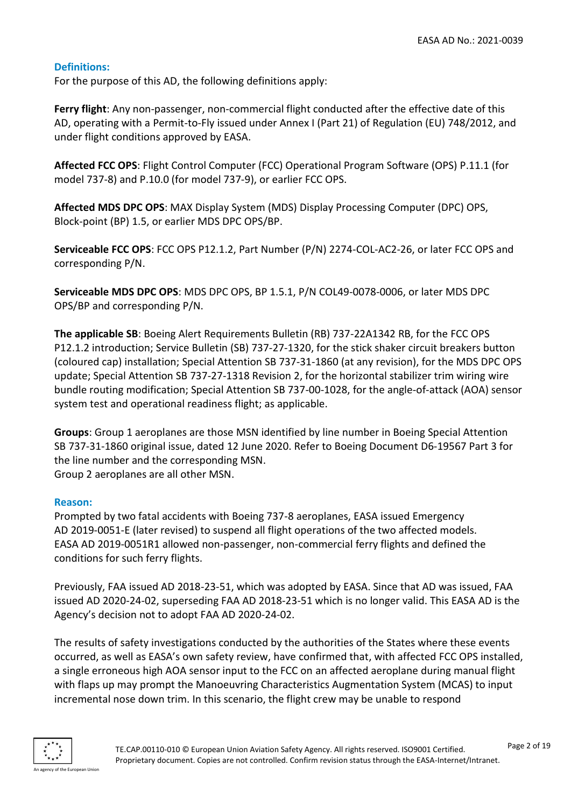# **Definitions:**

For the purpose of this AD, the following definitions apply:

**Ferry flight**: Any non-passenger, non-commercial flight conducted after the effective date of this AD, operating with a Permit-to-Fly issued under Annex I (Part 21) of Regulation (EU) 748/2012, and under flight conditions approved by EASA.

**Affected FCC OPS**: Flight Control Computer (FCC) Operational Program Software (OPS) P.11.1 (for model 737-8) and P.10.0 (for model 737-9), or earlier FCC OPS.

**Affected MDS DPC OPS**: MAX Display System (MDS) Display Processing Computer (DPC) OPS, Block-point (BP) 1.5, or earlier MDS DPC OPS/BP.

**Serviceable FCC OPS**: FCC OPS P12.1.2, Part Number (P/N) 2274-COL-AC2-26, or later FCC OPS and corresponding P/N.

**Serviceable MDS DPC OPS**: MDS DPC OPS, BP 1.5.1, P/N COL49-0078-0006, or later MDS DPC OPS/BP and corresponding P/N.

**The applicable SB**: Boeing Alert Requirements Bulletin (RB) 737-22A1342 RB, for the FCC OPS P12.1.2 introduction; Service Bulletin (SB) 737-27-1320, for the stick shaker circuit breakers button (coloured cap) installation; Special Attention SB 737-31-1860 (at any revision), for the MDS DPC OPS update; Special Attention SB 737-27-1318 Revision 2, for the horizontal stabilizer trim wiring wire bundle routing modification; Special Attention SB 737-00-1028, for the angle-of-attack (AOA) sensor system test and operational readiness flight; as applicable.

**Groups**: Group 1 aeroplanes are those MSN identified by line number in Boeing Special Attention SB 737-31-1860 original issue, dated 12 June 2020. Refer to Boeing Document D6-19567 Part 3 for the line number and the corresponding MSN. Group 2 aeroplanes are all other MSN.

### **Reason:**

Prompted by two fatal accidents with Boeing 737-8 aeroplanes, EASA issued Emergency AD 2019-0051-E (later revised) to suspend all flight operations of the two affected models. EASA AD 2019-0051R1 allowed non-passenger, non-commercial ferry flights and defined the conditions for such ferry flights.

Previously, FAA issued AD 2018-23-51, which was adopted by EASA. Since that AD was issued, FAA issued AD 2020-24-02, superseding FAA AD 2018-23-51 which is no longer valid. This EASA AD is the Agency's decision not to adopt FAA AD 2020-24-02.

The results of safety investigations conducted by the authorities of the States where these events occurred, as well as EASA's own safety review, have confirmed that, with affected FCC OPS installed, a single erroneous high AOA sensor input to the FCC on an affected aeroplane during manual flight with flaps up may prompt the Manoeuvring Characteristics Augmentation System (MCAS) to input incremental nose down trim. In this scenario, the flight crew may be unable to respond

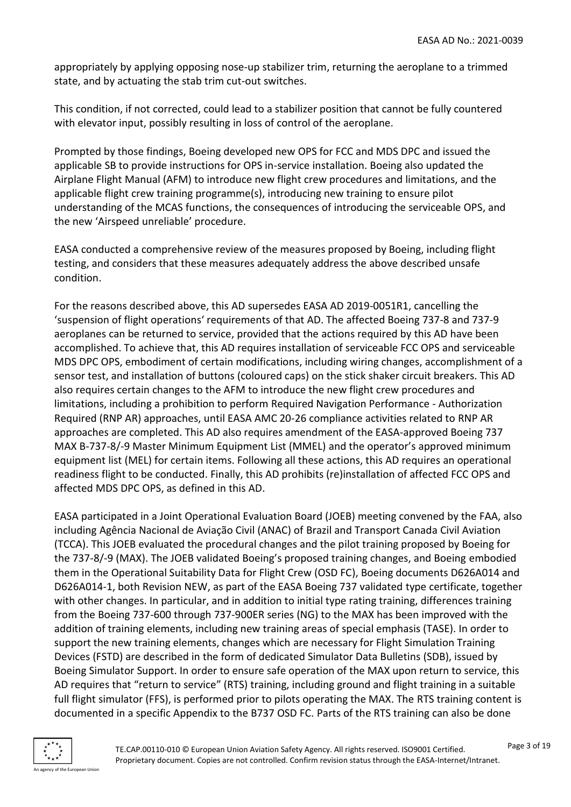appropriately by applying opposing nose-up stabilizer trim, returning the aeroplane to a trimmed state, and by actuating the stab trim cut-out switches.

This condition, if not corrected, could lead to a stabilizer position that cannot be fully countered with elevator input, possibly resulting in loss of control of the aeroplane.

Prompted by those findings, Boeing developed new OPS for FCC and MDS DPC and issued the applicable SB to provide instructions for OPS in-service installation. Boeing also updated the Airplane Flight Manual (AFM) to introduce new flight crew procedures and limitations, and the applicable flight crew training programme(s), introducing new training to ensure pilot understanding of the MCAS functions, the consequences of introducing the serviceable OPS, and the new 'Airspeed unreliable' procedure.

EASA conducted a comprehensive review of the measures proposed by Boeing, including flight testing, and considers that these measures adequately address the above described unsafe condition.

For the reasons described above, this AD supersedes EASA AD 2019-0051R1, cancelling the 'suspension of flight operations' requirements of that AD. The affected Boeing 737-8 and 737-9 aeroplanes can be returned to service, provided that the actions required by this AD have been accomplished. To achieve that, this AD requires installation of serviceable FCC OPS and serviceable MDS DPC OPS, embodiment of certain modifications, including wiring changes, accomplishment of a sensor test, and installation of buttons (coloured caps) on the stick shaker circuit breakers. This AD also requires certain changes to the AFM to introduce the new flight crew procedures and limitations, including a prohibition to perform Required Navigation Performance - Authorization Required (RNP AR) approaches, until EASA AMC 20-26 compliance activities related to RNP AR approaches are completed. This AD also requires amendment of the EASA-approved Boeing 737 MAX B-737-8/-9 Master Minimum Equipment List (MMEL) and the operator's approved minimum equipment list (MEL) for certain items. Following all these actions, this AD requires an operational readiness flight to be conducted. Finally, this AD prohibits (re)installation of affected FCC OPS and affected MDS DPC OPS, as defined in this AD.

EASA participated in a Joint Operational Evaluation Board (JOEB) meeting convened by the FAA, also including Agência Nacional de Aviação Civil (ANAC) of Brazil and Transport Canada Civil Aviation (TCCA). This JOEB evaluated the procedural changes and the pilot training proposed by Boeing for the 737-8/-9 (MAX). The JOEB validated Boeing's proposed training changes, and Boeing embodied them in the Operational Suitability Data for Flight Crew (OSD FC), Boeing documents D626A014 and D626A014-1, both Revision NEW, as part of the EASA Boeing 737 validated type certificate, together with other changes. In particular, and in addition to initial type rating training, differences training from the Boeing 737-600 through 737-900ER series (NG) to the MAX has been improved with the addition of training elements, including new training areas of special emphasis (TASE). In order to support the new training elements, changes which are necessary for Flight Simulation Training Devices (FSTD) are described in the form of dedicated Simulator Data Bulletins (SDB), issued by Boeing Simulator Support. In order to ensure safe operation of the MAX upon return to service, this AD requires that "return to service" (RTS) training, including ground and flight training in a suitable full flight simulator (FFS), is performed prior to pilots operating the MAX. The RTS training content is documented in a specific Appendix to the B737 OSD FC. Parts of the RTS training can also be done

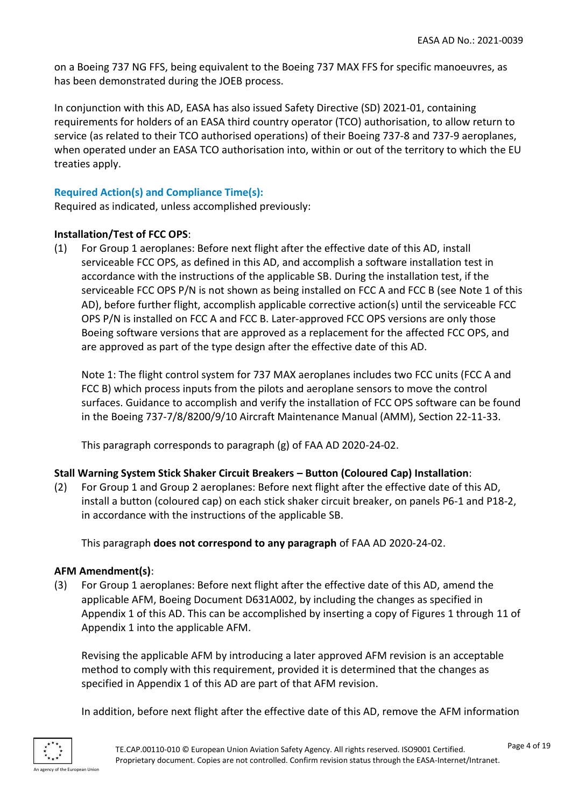on a Boeing 737 NG FFS, being equivalent to the Boeing 737 MAX FFS for specific manoeuvres, as has been demonstrated during the JOEB process.

In conjunction with this AD, EASA has also issued Safety Directive (SD) 2021-01, containing requirements for holders of an EASA third country operator (TCO) authorisation, to allow return to service (as related to their TCO authorised operations) of their Boeing 737-8 and 737-9 aeroplanes, when operated under an EASA TCO authorisation into, within or out of the territory to which the EU treaties apply.

# **Required Action(s) and Compliance Time(s):**

Required as indicated, unless accomplished previously:

# **Installation/Test of FCC OPS**:

(1) For Group 1 aeroplanes: Before next flight after the effective date of this AD, install serviceable FCC OPS, as defined in this AD, and accomplish a software installation test in accordance with the instructions of the applicable SB. During the installation test, if the serviceable FCC OPS P/N is not shown as being installed on FCC A and FCC B (see Note 1 of this AD), before further flight, accomplish applicable corrective action(s) until the serviceable FCC OPS P/N is installed on FCC A and FCC B. Later-approved FCC OPS versions are only those Boeing software versions that are approved as a replacement for the affected FCC OPS, and are approved as part of the type design after the effective date of this AD.

Note 1: The flight control system for 737 MAX aeroplanes includes two FCC units (FCC A and FCC B) which process inputs from the pilots and aeroplane sensors to move the control surfaces. Guidance to accomplish and verify the installation of FCC OPS software can be found in the Boeing 737-7/8/8200/9/10 Aircraft Maintenance Manual (AMM), Section 22-11-33.

This paragraph corresponds to paragraph (g) of FAA AD 2020-24-02.

# **Stall Warning System Stick Shaker Circuit Breakers – Button (Coloured Cap) Installation**:

(2) For Group 1 and Group 2 aeroplanes: Before next flight after the effective date of this AD, install a button (coloured cap) on each stick shaker circuit breaker, on panels P6-1 and P18-2, in accordance with the instructions of the applicable SB.

This paragraph **does not correspond to any paragraph** of FAA AD 2020-24-02.

# **AFM Amendment(s)**:

(3) For Group 1 aeroplanes: Before next flight after the effective date of this AD, amend the applicable AFM, Boeing Document D631A002, by including the changes as specified in Appendix 1 of this AD. This can be accomplished by inserting a copy of Figures 1 through 11 of Appendix 1 into the applicable AFM.

Revising the applicable AFM by introducing a later approved AFM revision is an acceptable method to comply with this requirement, provided it is determined that the changes as specified in Appendix 1 of this AD are part of that AFM revision.

In addition, before next flight after the effective date of this AD, remove the AFM information

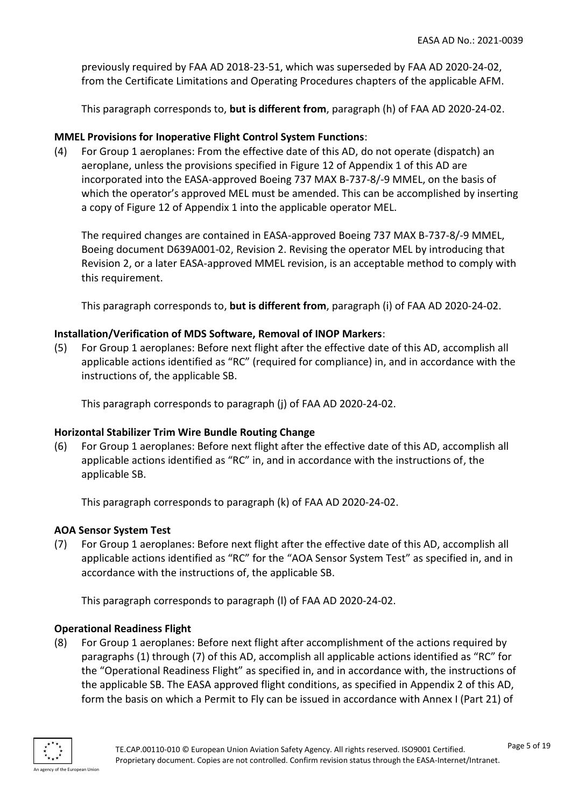previously required by FAA AD 2018-23-51, which was superseded by FAA AD 2020-24-02, from the Certificate Limitations and Operating Procedures chapters of the applicable AFM.

This paragraph corresponds to, **but is different from**, paragraph (h) of FAA AD 2020-24-02.

### **MMEL Provisions for Inoperative Flight Control System Functions**:

(4) For Group 1 aeroplanes: From the effective date of this AD, do not operate (dispatch) an aeroplane, unless the provisions specified in Figure 12 of Appendix 1 of this AD are incorporated into the EASA-approved Boeing 737 MAX B-737-8/-9 MMEL, on the basis of which the operator's approved MEL must be amended. This can be accomplished by inserting a copy of Figure 12 of Appendix 1 into the applicable operator MEL.

The required changes are contained in EASA-approved Boeing 737 MAX B-737-8/-9 MMEL, Boeing document D639A001-02, Revision 2. Revising the operator MEL by introducing that Revision 2, or a later EASA-approved MMEL revision, is an acceptable method to comply with this requirement.

This paragraph corresponds to, **but is different from**, paragraph (i) of FAA AD 2020-24-02.

### **Installation/Verification of MDS Software, Removal of INOP Markers**:

(5) For Group 1 aeroplanes: Before next flight after the effective date of this AD, accomplish all applicable actions identified as "RC" (required for compliance) in, and in accordance with the instructions of, the applicable SB.

This paragraph corresponds to paragraph (j) of FAA AD 2020-24-02.

### **Horizontal Stabilizer Trim Wire Bundle Routing Change**

(6) For Group 1 aeroplanes: Before next flight after the effective date of this AD, accomplish all applicable actions identified as "RC" in, and in accordance with the instructions of, the applicable SB.

This paragraph corresponds to paragraph (k) of FAA AD 2020-24-02.

### **AOA Sensor System Test**

(7) For Group 1 aeroplanes: Before next flight after the effective date of this AD, accomplish all applicable actions identified as "RC" for the "AOA Sensor System Test" as specified in, and in accordance with the instructions of, the applicable SB.

This paragraph corresponds to paragraph (l) of FAA AD 2020-24-02.

### **Operational Readiness Flight**

(8) For Group 1 aeroplanes: Before next flight after accomplishment of the actions required by paragraphs (1) through (7) of this AD, accomplish all applicable actions identified as "RC" for the "Operational Readiness Flight" as specified in, and in accordance with, the instructions of the applicable SB. The EASA approved flight conditions, as specified in Appendix 2 of this AD, form the basis on which a Permit to Fly can be issued in accordance with Annex I (Part 21) of

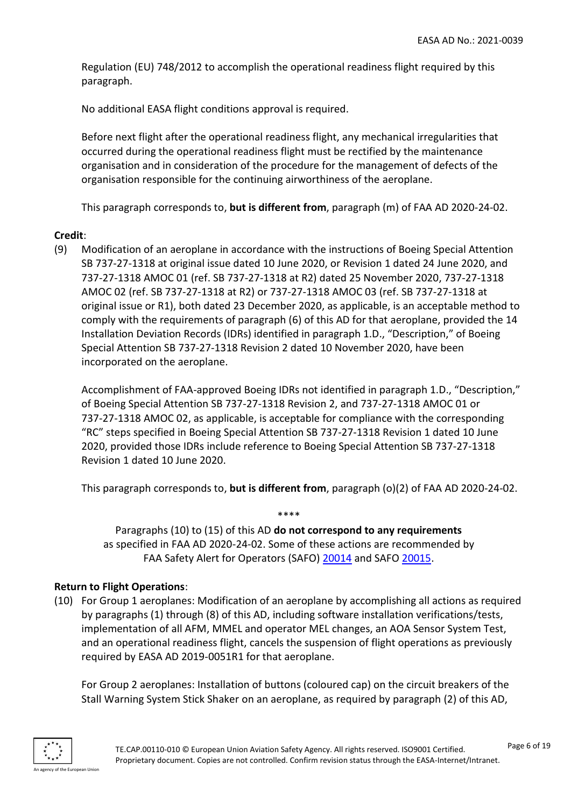Regulation (EU) 748/2012 to accomplish the operational readiness flight required by this paragraph.

No additional EASA flight conditions approval is required.

Before next flight after the operational readiness flight, any mechanical irregularities that occurred during the operational readiness flight must be rectified by the maintenance organisation and in consideration of the procedure for the management of defects of the organisation responsible for the continuing airworthiness of the aeroplane.

This paragraph corresponds to, **but is different from**, paragraph (m) of FAA AD 2020-24-02.

# **Credit**:

(9) Modification of an aeroplane in accordance with the instructions of Boeing Special Attention SB 737-27-1318 at original issue dated 10 June 2020, or Revision 1 dated 24 June 2020, and 737-27-1318 AMOC 01 (ref. SB 737-27-1318 at R2) dated 25 November 2020, 737-27-1318 AMOC 02 (ref. SB 737-27-1318 at R2) or 737-27-1318 AMOC 03 (ref. SB 737-27-1318 at original issue or R1), both dated 23 December 2020, as applicable, is an acceptable method to comply with the requirements of paragraph (6) of this AD for that aeroplane, provided the 14 Installation Deviation Records (IDRs) identified in paragraph 1.D., "Description," of Boeing Special Attention SB 737-27-1318 Revision 2 dated 10 November 2020, have been incorporated on the aeroplane.

Accomplishment of FAA-approved Boeing IDRs not identified in paragraph 1.D., "Description," of Boeing Special Attention SB 737-27-1318 Revision 2, and 737-27-1318 AMOC 01 or 737-27-1318 AMOC 02, as applicable, is acceptable for compliance with the corresponding "RC" steps specified in Boeing Special Attention SB 737-27-1318 Revision 1 dated 10 June 2020, provided those IDRs include reference to Boeing Special Attention SB 737-27-1318 Revision 1 dated 10 June 2020.

This paragraph corresponds to, **but is different from**, paragraph (o)(2) of FAA AD 2020-24-02.

Paragraphs (10) to (15) of this AD **do not correspond to any requirements** as specified in FAA AD 2020-24-02. Some of these actions are recommended by FAA Safety Alert for Operators (SAFO) [20014](https://content.govdelivery.com/attachments/USAFAA/2020/11/18/file_attachments/1604971/SAFO20014.pdf) and SAFO [20015.](https://content.govdelivery.com/attachments/USAFAA/2020/11/18/file_attachments/1604979/SAFO20015.pdf)

\*\*\*\*

### **Return to Flight Operations**:

(10) For Group 1 aeroplanes: Modification of an aeroplane by accomplishing all actions as required by paragraphs (1) through (8) of this AD, including software installation verifications/tests, implementation of all AFM, MMEL and operator MEL changes, an AOA Sensor System Test, and an operational readiness flight, cancels the suspension of flight operations as previously required by EASA AD 2019-0051R1 for that aeroplane.

For Group 2 aeroplanes: Installation of buttons (coloured cap) on the circuit breakers of the Stall Warning System Stick Shaker on an aeroplane, as required by paragraph (2) of this AD,

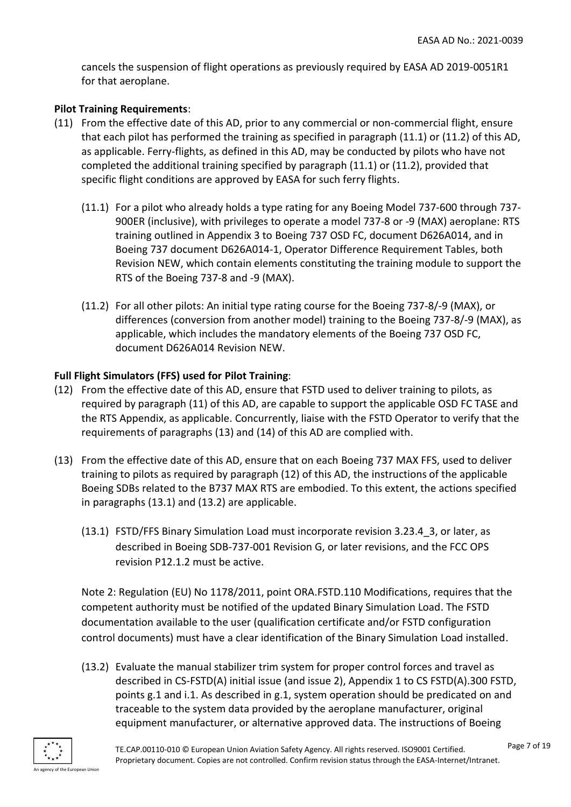cancels the suspension of flight operations as previously required by EASA AD 2019-0051R1 for that aeroplane.

# **Pilot Training Requirements**:

- (11) From the effective date of this AD, prior to any commercial or non-commercial flight, ensure that each pilot has performed the training as specified in paragraph (11.1) or (11.2) of this AD, as applicable. Ferry-flights, as defined in this AD, may be conducted by pilots who have not completed the additional training specified by paragraph (11.1) or (11.2), provided that specific flight conditions are approved by EASA for such ferry flights.
	- (11.1) For a pilot who already holds a type rating for any Boeing Model 737-600 through 737- 900ER (inclusive), with privileges to operate a model 737-8 or -9 (MAX) aeroplane: RTS training outlined in Appendix 3 to Boeing 737 OSD FC, document D626A014, and in Boeing 737 document D626A014-1, Operator Difference Requirement Tables, both Revision NEW, which contain elements constituting the training module to support the RTS of the Boeing 737-8 and -9 (MAX).
	- (11.2) For all other pilots: An initial type rating course for the Boeing 737-8/-9 (MAX), or differences (conversion from another model) training to the Boeing 737-8/-9 (MAX), as applicable, which includes the mandatory elements of the Boeing 737 OSD FC, document D626A014 Revision NEW.

# **Full Flight Simulators (FFS) used for Pilot Training**:

- (12) From the effective date of this AD, ensure that FSTD used to deliver training to pilots, as required by paragraph (11) of this AD, are capable to support the applicable OSD FC TASE and the RTS Appendix, as applicable. Concurrently, liaise with the FSTD Operator to verify that the requirements of paragraphs (13) and (14) of this AD are complied with.
- (13) From the effective date of this AD, ensure that on each Boeing 737 MAX FFS, used to deliver training to pilots as required by paragraph (12) of this AD, the instructions of the applicable Boeing SDBs related to the B737 MAX RTS are embodied. To this extent, the actions specified in paragraphs (13.1) and (13.2) are applicable.
	- (13.1) FSTD/FFS Binary Simulation Load must incorporate revision 3.23.4\_3, or later, as described in Boeing SDB-737-001 Revision G, or later revisions, and the FCC OPS revision P12.1.2 must be active.

Note 2: Regulation (EU) No 1178/2011, point ORA.FSTD.110 Modifications, requires that the competent authority must be notified of the updated Binary Simulation Load. The FSTD documentation available to the user (qualification certificate and/or FSTD configuration control documents) must have a clear identification of the Binary Simulation Load installed.

(13.2) Evaluate the manual stabilizer trim system for proper control forces and travel as described in CS-FSTD(A) initial issue (and issue 2), Appendix 1 to CS FSTD(A).300 FSTD, points g.1 and i.1. As described in g.1, system operation should be predicated on and traceable to the system data provided by the aeroplane manufacturer, original equipment manufacturer, or alternative approved data. The instructions of Boeing

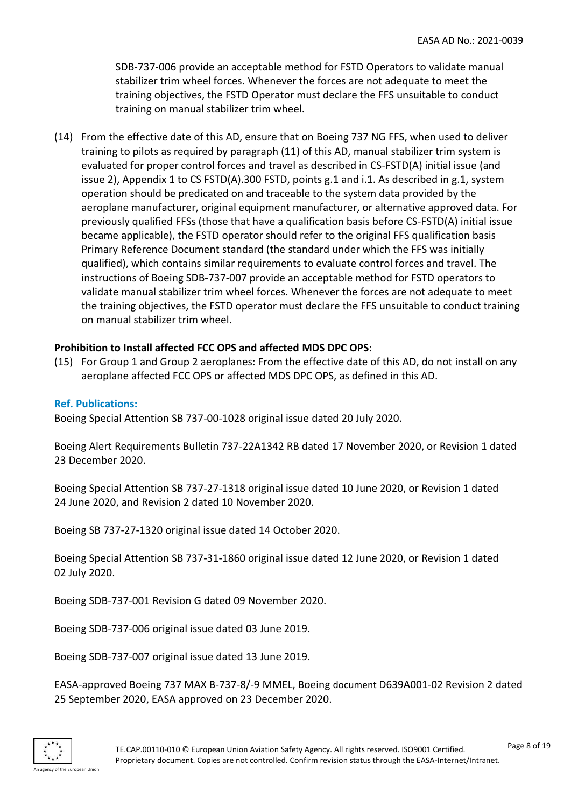SDB-737-006 provide an acceptable method for FSTD Operators to validate manual stabilizer trim wheel forces. Whenever the forces are not adequate to meet the training objectives, the FSTD Operator must declare the FFS unsuitable to conduct training on manual stabilizer trim wheel.

(14) From the effective date of this AD, ensure that on Boeing 737 NG FFS, when used to deliver training to pilots as required by paragraph (11) of this AD, manual stabilizer trim system is evaluated for proper control forces and travel as described in CS-FSTD(A) initial issue (and issue 2), Appendix 1 to CS FSTD(A).300 FSTD, points g.1 and i.1. As described in g.1, system operation should be predicated on and traceable to the system data provided by the aeroplane manufacturer, original equipment manufacturer, or alternative approved data. For previously qualified FFSs (those that have a qualification basis before CS-FSTD(A) initial issue became applicable), the FSTD operator should refer to the original FFS qualification basis Primary Reference Document standard (the standard under which the FFS was initially qualified), which contains similar requirements to evaluate control forces and travel. The instructions of Boeing SDB-737-007 provide an acceptable method for FSTD operators to validate manual stabilizer trim wheel forces. Whenever the forces are not adequate to meet the training objectives, the FSTD operator must declare the FFS unsuitable to conduct training on manual stabilizer trim wheel.

# **Prohibition to Install affected FCC OPS and affected MDS DPC OPS**:

(15) For Group 1 and Group 2 aeroplanes: From the effective date of this AD, do not install on any aeroplane affected FCC OPS or affected MDS DPC OPS, as defined in this AD.

### **Ref. Publications:**

Boeing Special Attention SB 737-00-1028 original issue dated 20 July 2020.

Boeing Alert Requirements Bulletin 737-22A1342 RB dated 17 November 2020, or Revision 1 dated 23 December 2020.

Boeing Special Attention SB 737-27-1318 original issue dated 10 June 2020, or Revision 1 dated 24 June 2020, and Revision 2 dated 10 November 2020.

Boeing SB 737-27-1320 original issue dated 14 October 2020.

Boeing Special Attention SB 737-31-1860 original issue dated 12 June 2020, or Revision 1 dated 02 July 2020.

Boeing SDB-737-001 Revision G dated 09 November 2020.

Boeing SDB-737-006 original issue dated 03 June 2019.

Boeing SDB-737-007 original issue dated 13 June 2019.

EASA-approved Boeing 737 MAX B-737-8/-9 MMEL, Boeing document D639A001-02 Revision 2 dated 25 September 2020, EASA approved on 23 December 2020.

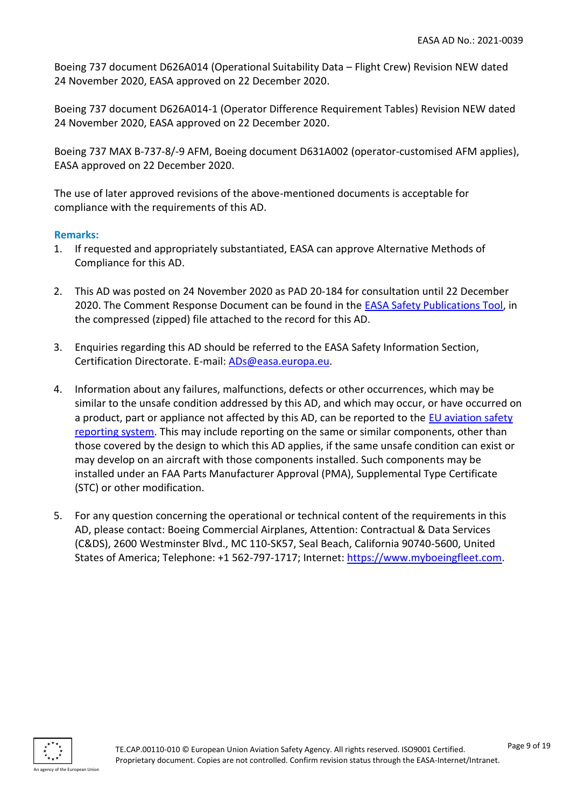Boeing 737 document D626A014 (Operational Suitability Data – Flight Crew) Revision NEW dated 24 November 2020, EASA approved on 22 December 2020.

Boeing 737 document D626A014-1 (Operator Difference Requirement Tables) Revision NEW dated 24 November 2020, EASA approved on 22 December 2020.

Boeing 737 MAX B-737-8/-9 AFM, Boeing document D631A002 (operator-customised AFM applies), EASA approved on 22 December 2020.

The use of later approved revisions of the above-mentioned documents is acceptable for compliance with the requirements of this AD.

# **Remarks:**

- 1. If requested and appropriately substantiated, EASA can approve Alternative Methods of Compliance for this AD.
- 2. This AD was posted on 24 November 2020 as PAD 20-184 for consultation until 22 December 2020. The Comment Response Document can be found in the [EASA Safety Publications Tool,](http://ad.easa.europa.eu/) in the compressed (zipped) file attached to the record for this AD.
- 3. Enquiries regarding this AD should be referred to the EASA Safety Information Section, Certification Directorate. E-mail: [ADs@easa.europa.eu.](mailto:ADs@easa.europa.eu)
- 4. Information about any failures, malfunctions, defects or other occurrences, which may be similar to the unsafe condition addressed by this AD, and which may occur, or have occurred on a product, part or appliance not affected by this AD, can be reported to the [EU aviation safety](http://www.aviationreporting.eu/AviationReporting/)  [reporting system.](http://www.aviationreporting.eu/AviationReporting/) This may include reporting on the same or similar components, other than those covered by the design to which this AD applies, if the same unsafe condition can exist or may develop on an aircraft with those components installed. Such components may be installed under an FAA Parts Manufacturer Approval (PMA), Supplemental Type Certificate (STC) or other modification.
- 5. For any question concerning the operational or technical content of the requirements in this AD, please contact: Boeing Commercial Airplanes, Attention: Contractual & Data Services (C&DS), 2600 Westminster Blvd., MC 110-SK57, Seal Beach, California 90740-5600, United States of America; Telephone: +1 562-797-1717; Internet: [https://www.myboeingfleet.com.](https://www.myboeingfleet.com/)

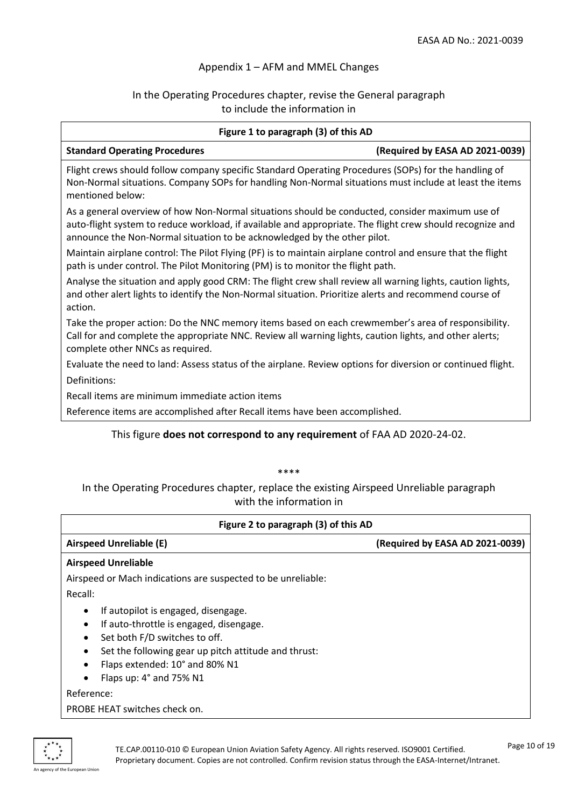### Appendix 1 – AFM and MMEL Changes

# In the Operating Procedures chapter, revise the General paragraph to include the information in

| Figure 1 to paragraph (3) of this AD                                                                                                                                                                                                                                                     |                                 |  |
|------------------------------------------------------------------------------------------------------------------------------------------------------------------------------------------------------------------------------------------------------------------------------------------|---------------------------------|--|
| <b>Standard Operating Procedures</b>                                                                                                                                                                                                                                                     | (Required by EASA AD 2021-0039) |  |
| Flight crews should follow company specific Standard Operating Procedures (SOPs) for the handling of<br>Non-Normal situations. Company SOPs for handling Non-Normal situations must include at least the items<br>mentioned below:                                                       |                                 |  |
| As a general overview of how Non-Normal situations should be conducted, consider maximum use of<br>auto-flight system to reduce workload, if available and appropriate. The flight crew should recognize and<br>announce the Non-Normal situation to be acknowledged by the other pilot. |                                 |  |
| Maintain airplane control: The Pilot Flying (PF) is to maintain airplane control and ensure that the flight<br>path is under control. The Pilot Monitoring (PM) is to monitor the flight path.                                                                                           |                                 |  |
| Analyse the situation and apply good CRM: The flight crew shall review all warning lights, caution lights,<br>and other alert lights to identify the Non-Normal situation. Prioritize alerts and recommend course of<br>action.                                                          |                                 |  |
| Take the proper action: Do the NNC memory items based on each crewmember's area of responsibility.<br>Call for and complete the appropriate NNC. Review all warning lights, caution lights, and other alerts;<br>complete other NNCs as required.                                        |                                 |  |
| Evaluate the need to land: Assess status of the airplane. Review options for diversion or continued flight.                                                                                                                                                                              |                                 |  |
| Definitions:                                                                                                                                                                                                                                                                             |                                 |  |
| Recall items are minimum immediate action items                                                                                                                                                                                                                                          |                                 |  |
| Reference items are accomplished after Recall items have been accomplished.                                                                                                                                                                                                              |                                 |  |
| This figure does not correspond to any requirement of FAA AD 2020-24-02.                                                                                                                                                                                                                 |                                 |  |

### \*\*\*\*

In the Operating Procedures chapter, replace the existing Airspeed Unreliable paragraph with the information in

| Figure 2 to paragraph (3) of this AD                                                                                                                                                                                                      |                                 |  |
|-------------------------------------------------------------------------------------------------------------------------------------------------------------------------------------------------------------------------------------------|---------------------------------|--|
| Airspeed Unreliable (E)                                                                                                                                                                                                                   | (Required by EASA AD 2021-0039) |  |
| <b>Airspeed Unreliable</b>                                                                                                                                                                                                                |                                 |  |
| Airspeed or Mach indications are suspected to be unreliable:                                                                                                                                                                              |                                 |  |
| Recall:                                                                                                                                                                                                                                   |                                 |  |
| If autopilot is engaged, disengage.<br>٠<br>If auto-throttle is engaged, disengage.<br>Set both F/D switches to off.<br>Set the following gear up pitch attitude and thrust:<br>Flaps extended: 10° and 80% N1<br>Flaps up: 4° and 75% N1 |                                 |  |
| Reference:<br>PROBE HEAT switches check on.                                                                                                                                                                                               |                                 |  |

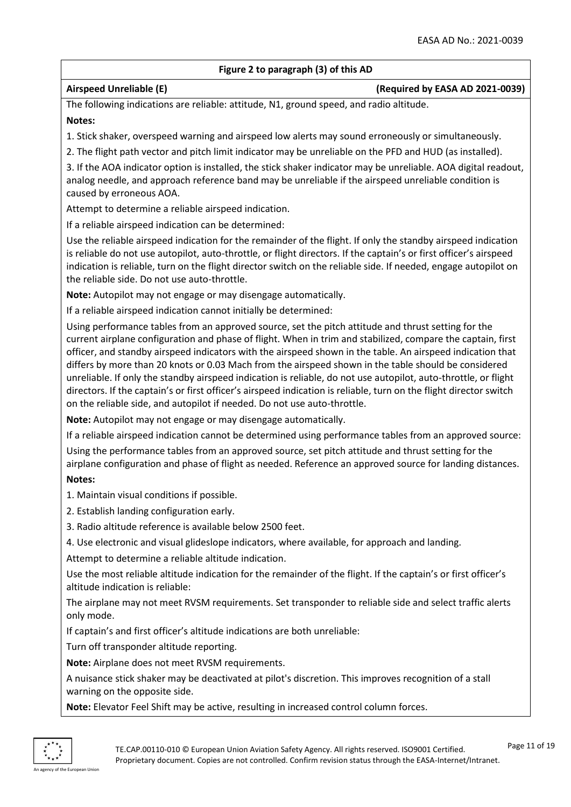### **Figure 2 to paragraph (3) of this AD**

### **Airspeed Unreliable (E) (Required by EASA AD 2021-0039)**

The following indications are reliable: attitude, N1, ground speed, and radio altitude.

### **Notes:**

1. Stick shaker, overspeed warning and airspeed low alerts may sound erroneously or simultaneously.

2. The flight path vector and pitch limit indicator may be unreliable on the PFD and HUD (as installed).

3. If the AOA indicator option is installed, the stick shaker indicator may be unreliable. AOA digital readout, analog needle, and approach reference band may be unreliable if the airspeed unreliable condition is caused by erroneous AOA.

Attempt to determine a reliable airspeed indication.

If a reliable airspeed indication can be determined:

Use the reliable airspeed indication for the remainder of the flight. If only the standby airspeed indication is reliable do not use autopilot, auto-throttle, or flight directors. If the captain's or first officer's airspeed indication is reliable, turn on the flight director switch on the reliable side. If needed, engage autopilot on the reliable side. Do not use auto-throttle.

**Note:** Autopilot may not engage or may disengage automatically.

If a reliable airspeed indication cannot initially be determined:

Using performance tables from an approved source, set the pitch attitude and thrust setting for the current airplane configuration and phase of flight. When in trim and stabilized, compare the captain, first officer, and standby airspeed indicators with the airspeed shown in the table. An airspeed indication that differs by more than 20 knots or 0.03 Mach from the airspeed shown in the table should be considered unreliable. If only the standby airspeed indication is reliable, do not use autopilot, auto-throttle, or flight directors. If the captain's or first officer's airspeed indication is reliable, turn on the flight director switch on the reliable side, and autopilot if needed. Do not use auto-throttle.

**Note:** Autopilot may not engage or may disengage automatically.

If a reliable airspeed indication cannot be determined using performance tables from an approved source:

Using the performance tables from an approved source, set pitch attitude and thrust setting for the airplane configuration and phase of flight as needed. Reference an approved source for landing distances.

# **Notes:**

1. Maintain visual conditions if possible.

- 2. Establish landing configuration early.
- 3. Radio altitude reference is available below 2500 feet.
- 4. Use electronic and visual glideslope indicators, where available, for approach and landing.

Attempt to determine a reliable altitude indication.

Use the most reliable altitude indication for the remainder of the flight. If the captain's or first officer's altitude indication is reliable:

The airplane may not meet RVSM requirements. Set transponder to reliable side and select traffic alerts only mode.

If captain's and first officer's altitude indications are both unreliable:

Turn off transponder altitude reporting.

**Note:** Airplane does not meet RVSM requirements.

A nuisance stick shaker may be deactivated at pilot's discretion. This improves recognition of a stall warning on the opposite side.

**Note:** Elevator Feel Shift may be active, resulting in increased control column forces.

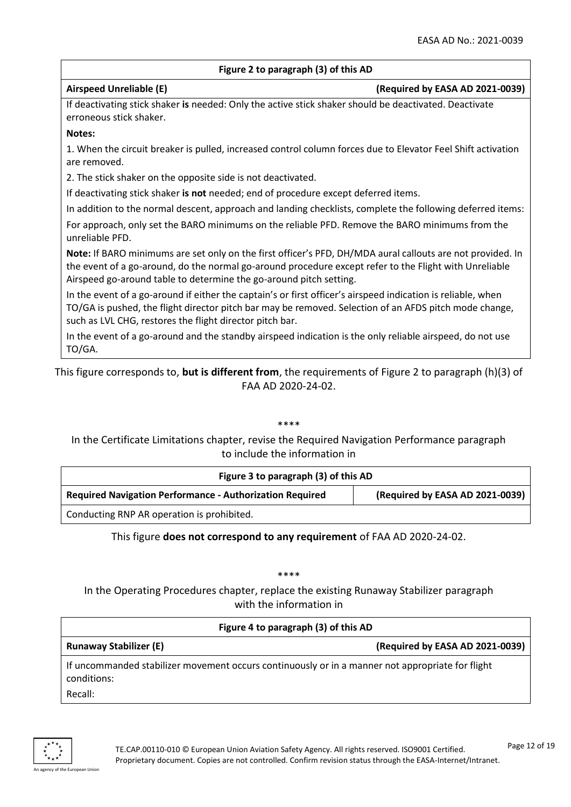### **Figure 2 to paragraph (3) of this AD**

**Airspeed Unreliable (E) (Required by EASA AD 2021-0039)**

If deactivating stick shaker **is** needed: Only the active stick shaker should be deactivated. Deactivate erroneous stick shaker.

### **Notes:**

1. When the circuit breaker is pulled, increased control column forces due to Elevator Feel Shift activation are removed.

2. The stick shaker on the opposite side is not deactivated.

If deactivating stick shaker **is not** needed; end of procedure except deferred items.

In addition to the normal descent, approach and landing checklists, complete the following deferred items:

For approach, only set the BARO minimums on the reliable PFD. Remove the BARO minimums from the unreliable PFD.

**Note:** If BARO minimums are set only on the first officer's PFD, DH/MDA aural callouts are not provided. In the event of a go-around, do the normal go-around procedure except refer to the Flight with Unreliable Airspeed go-around table to determine the go-around pitch setting.

In the event of a go-around if either the captain's or first officer's airspeed indication is reliable, when TO/GA is pushed, the flight director pitch bar may be removed. Selection of an AFDS pitch mode change, such as LVL CHG, restores the flight director pitch bar.

In the event of a go-around and the standby airspeed indication is the only reliable airspeed, do not use TO/GA.

This figure corresponds to, **but is different from**, the requirements of Figure 2 to paragraph (h)(3) of FAA AD 2020-24-02.

### \*\*\*\*

In the Certificate Limitations chapter, revise the Required Navigation Performance paragraph to include the information in

| Figure 3 to paragraph (3) of this AD                            |                                 |
|-----------------------------------------------------------------|---------------------------------|
| <b>Required Navigation Performance - Authorization Required</b> | (Required by EASA AD 2021-0039) |
| Conducting RNP AR operation is prohibited.                      |                                 |

This figure **does not correspond to any requirement** of FAA AD 2020-24-02.

\*\*\*\*

In the Operating Procedures chapter, replace the existing Runaway Stabilizer paragraph with the information in

| Figure 4 to paragraph (3) of this AD                                                                            |                                 |  |
|-----------------------------------------------------------------------------------------------------------------|---------------------------------|--|
| <b>Runaway Stabilizer (E)</b>                                                                                   | (Required by EASA AD 2021-0039) |  |
| If uncommanded stabilizer movement occurs continuously or in a manner not appropriate for flight<br>conditions: |                                 |  |
| Recall:                                                                                                         |                                 |  |

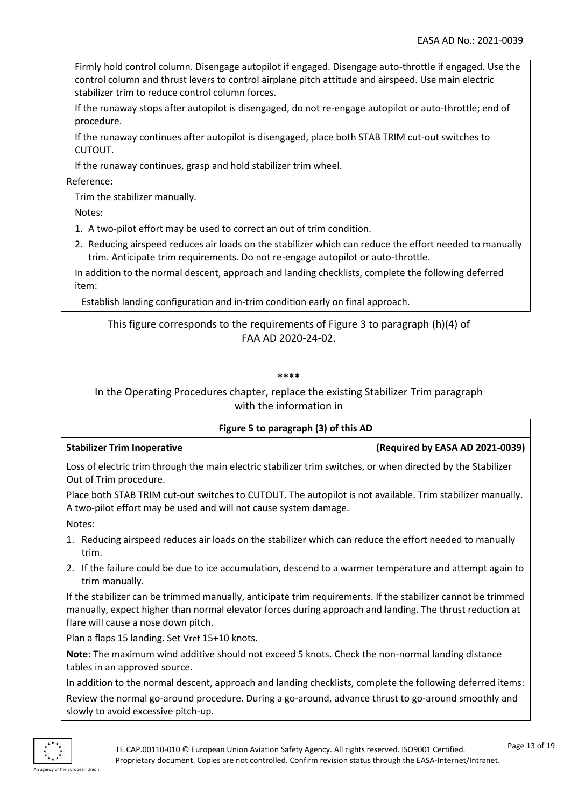Firmly hold control column. Disengage autopilot if engaged. Disengage auto-throttle if engaged. Use the control column and thrust levers to control airplane pitch attitude and airspeed. Use main electric stabilizer trim to reduce control column forces.

If the runaway stops after autopilot is disengaged, do not re-engage autopilot or auto-throttle; end of procedure.

If the runaway continues after autopilot is disengaged, place both STAB TRIM cut-out switches to CUTOUT.

If the runaway continues, grasp and hold stabilizer trim wheel.

Reference:

Trim the stabilizer manually.

Notes:

1. A two-pilot effort may be used to correct an out of trim condition.

2. Reducing airspeed reduces air loads on the stabilizer which can reduce the effort needed to manually trim. Anticipate trim requirements. Do not re-engage autopilot or auto-throttle.

In addition to the normal descent, approach and landing checklists, complete the following deferred item:

Establish landing configuration and in-trim condition early on final approach.

# This figure corresponds to the requirements of Figure 3 to paragraph (h)(4) of FAA AD 2020-24-02.

\*\*\*\*

In the Operating Procedures chapter, replace the existing Stabilizer Trim paragraph with the information in

| Figure 5 to paragraph (3) of this AD                                                                                                                                                                                                                            |                                 |  |
|-----------------------------------------------------------------------------------------------------------------------------------------------------------------------------------------------------------------------------------------------------------------|---------------------------------|--|
| <b>Stabilizer Trim Inoperative</b>                                                                                                                                                                                                                              | (Required by EASA AD 2021-0039) |  |
| Loss of electric trim through the main electric stabilizer trim switches, or when directed by the Stabilizer<br>Out of Trim procedure.                                                                                                                          |                                 |  |
| Place both STAB TRIM cut-out switches to CUTOUT. The autopilot is not available. Trim stabilizer manually.<br>A two-pilot effort may be used and will not cause system damage.                                                                                  |                                 |  |
| Notes:                                                                                                                                                                                                                                                          |                                 |  |
| 1. Reducing airspeed reduces air loads on the stabilizer which can reduce the effort needed to manually<br>trim.                                                                                                                                                |                                 |  |
| 2. If the failure could be due to ice accumulation, descend to a warmer temperature and attempt again to<br>trim manually.                                                                                                                                      |                                 |  |
| If the stabilizer can be trimmed manually, anticipate trim requirements. If the stabilizer cannot be trimmed<br>manually, expect higher than normal elevator forces during approach and landing. The thrust reduction at<br>flare will cause a nose down pitch. |                                 |  |
| Plan a flaps 15 landing. Set Vref 15+10 knots.                                                                                                                                                                                                                  |                                 |  |

**Note:** The maximum wind additive should not exceed 5 knots. Check the non-normal landing distance tables in an approved source.

In addition to the normal descent, approach and landing checklists, complete the following deferred items:

Review the normal go-around procedure. During a go-around, advance thrust to go-around smoothly and slowly to avoid excessive pitch-up.

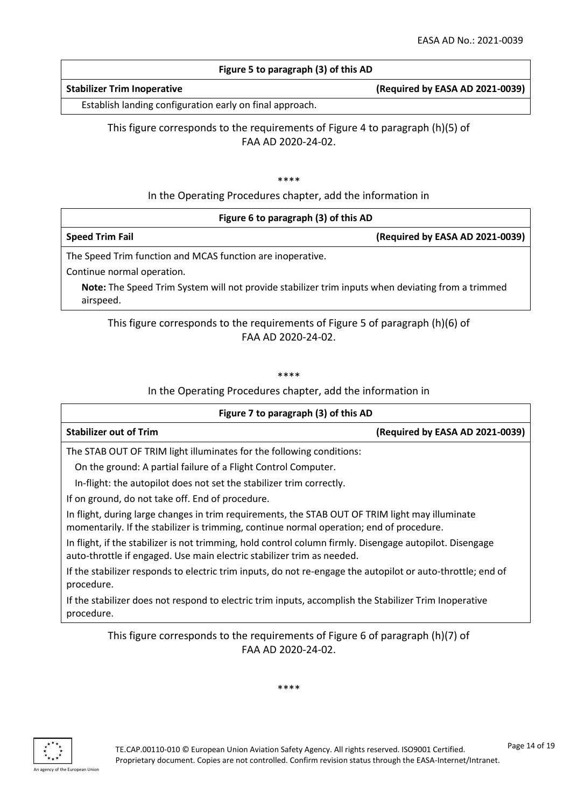### **Figure 5 to paragraph (3) of this AD**

### **Stabilizer Trim Inoperative (Required by EASA AD 2021-0039)**

Establish landing configuration early on final approach.

This figure corresponds to the requirements of Figure 4 to paragraph (h)(5) of FAA AD 2020-24-02.

### \*\*\*\*

In the Operating Procedures chapter, add the information in

| Figure 6 to paragraph (3) of this AD                       |                                 |
|------------------------------------------------------------|---------------------------------|
| <b>Speed Trim Fail</b>                                     | (Required by EASA AD 2021-0039) |
| The Speed Trim function and MCAS function are inoperative. |                                 |

Continue normal operation.

**Note:** The Speed Trim System will not provide stabilizer trim inputs when deviating from a trimmed airspeed.

# This figure corresponds to the requirements of Figure 5 of paragraph (h)(6) of FAA AD 2020-24-02.

\*\*\*\*

In the Operating Procedures chapter, add the information in

| Figure 7 to paragraph (3) of this AD                                                                                                                                                        |                                 |  |
|---------------------------------------------------------------------------------------------------------------------------------------------------------------------------------------------|---------------------------------|--|
| <b>Stabilizer out of Trim</b>                                                                                                                                                               | (Required by EASA AD 2021-0039) |  |
| The STAB OUT OF TRIM light illuminates for the following conditions:                                                                                                                        |                                 |  |
| On the ground: A partial failure of a Flight Control Computer.                                                                                                                              |                                 |  |
| In-flight: the autopilot does not set the stabilizer trim correctly.                                                                                                                        |                                 |  |
| If on ground, do not take off. End of procedure.                                                                                                                                            |                                 |  |
| In flight, during large changes in trim requirements, the STAB OUT OF TRIM light may illuminate<br>momentarily. If the stabilizer is trimming, continue normal operation; end of procedure. |                                 |  |
| In flight, if the stabilizer is not trimming, hold control column firmly. Disengage autopilot. Disengage<br>auto-throttle if engaged. Use main electric stabilizer trim as needed.          |                                 |  |
| If the stabilizer responds to electric trim inputs, do not re-engage the autopilot or auto-throttle; end of<br>procedure.                                                                   |                                 |  |
| If the stabilizer does not respond to electric trim inputs, accomplish the Stabilizer Trim Inoperative<br>procedure.                                                                        |                                 |  |

This figure corresponds to the requirements of Figure 6 of paragraph (h)(7) of FAA AD 2020-24-02.

\*\*\*\*

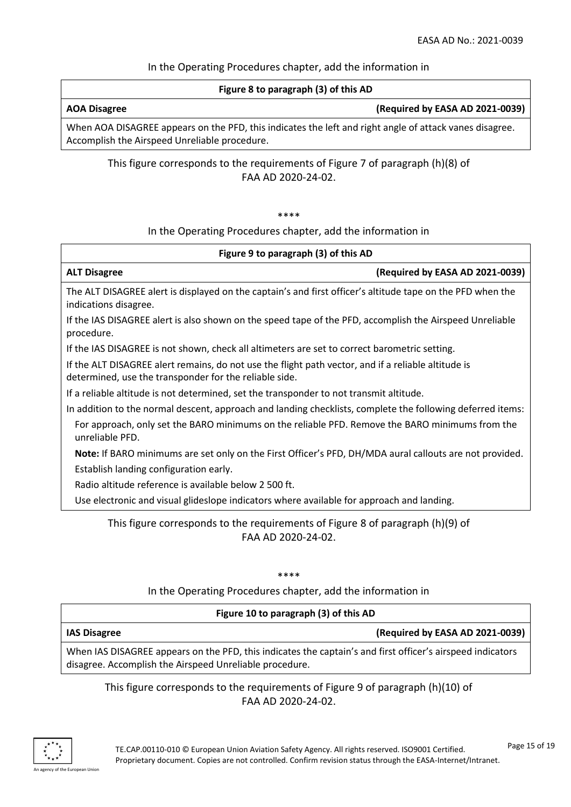### In the Operating Procedures chapter, add the information in

### **Figure 8 to paragraph (3) of this AD**

### **AOA Disagree (Required by EASA AD 2021-0039)**

When AOA DISAGREE appears on the PFD, this indicates the left and right angle of attack vanes disagree. Accomplish the Airspeed Unreliable procedure.

# This figure corresponds to the requirements of Figure 7 of paragraph (h)(8) of FAA AD 2020-24-02.

### \*\*\*\*

### In the Operating Procedures chapter, add the information in

| Figure 9 to paragraph (3) of this AD                                                                                                                          |  |  |
|---------------------------------------------------------------------------------------------------------------------------------------------------------------|--|--|
| (Required by EASA AD 2021-0039)<br><b>ALT Disagree</b>                                                                                                        |  |  |
| The ALT DISAGREE alert is displayed on the captain's and first officer's altitude tape on the PFD when the<br>indications disagree.                           |  |  |
| If the IAS DISAGREE alert is also shown on the speed tape of the PFD, accomplish the Airspeed Unreliable<br>procedure.                                        |  |  |
| If the IAS DISAGREE is not shown, check all altimeters are set to correct barometric setting.                                                                 |  |  |
| If the ALT DISAGREE alert remains, do not use the flight path vector, and if a reliable altitude is<br>determined, use the transponder for the reliable side. |  |  |
| If a reliable altitude is not determined, set the transponder to not transmit altitude.                                                                       |  |  |
| In addition to the normal descent, approach and landing checklists, complete the following deferred items:                                                    |  |  |
| For approach, only set the BARO minimums on the reliable PFD. Remove the BARO minimums from the<br>unreliable PFD.                                            |  |  |
| Note: If BARO minimums are set only on the First Officer's PFD, DH/MDA aural callouts are not provided.                                                       |  |  |
| Establish landing configuration early.                                                                                                                        |  |  |
| Radio altitude reference is available below 2 500 ft.                                                                                                         |  |  |
| Use electronic and visual glideslope indicators where available for approach and landing.                                                                     |  |  |

# This figure corresponds to the requirements of Figure 8 of paragraph (h)(9) of FAA AD 2020-24-02.

\*\*\*\*

In the Operating Procedures chapter, add the information in

# **Figure 10 to paragraph (3) of this AD**

| Figure 10 to paragraph (3) or this AD                                                                      |                                 |  |
|------------------------------------------------------------------------------------------------------------|---------------------------------|--|
| <b>IAS Disagree</b>                                                                                        | (Required by EASA AD 2021-0039) |  |
| When IAS DISAGREE appears on the PFD, this indicates the captain's and first officer's airspeed indicators |                                 |  |
| disagree. Accomplish the Airspeed Unreliable procedure.                                                    |                                 |  |

# This figure corresponds to the requirements of Figure 9 of paragraph (h)(10) of FAA AD 2020-24-02.

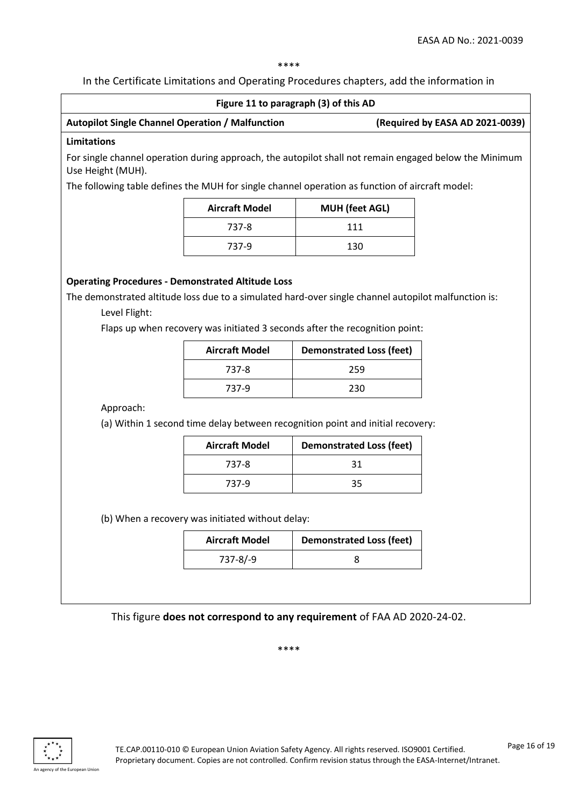\*\*\*\*

In the Certificate Limitations and Operating Procedures chapters, add the information in

| Figure 11 to paragraph (3) of this AD                                                                                                                                                                                                                            |                                                         |                                                                                                        |                                 |
|------------------------------------------------------------------------------------------------------------------------------------------------------------------------------------------------------------------------------------------------------------------|---------------------------------------------------------|--------------------------------------------------------------------------------------------------------|---------------------------------|
|                                                                                                                                                                                                                                                                  | <b>Autopilot Single Channel Operation / Malfunction</b> |                                                                                                        | (Required by EASA AD 2021-0039) |
| <b>Limitations</b>                                                                                                                                                                                                                                               |                                                         |                                                                                                        |                                 |
| Use Height (MUH).                                                                                                                                                                                                                                                |                                                         | For single channel operation during approach, the autopilot shall not remain engaged below the Minimum |                                 |
|                                                                                                                                                                                                                                                                  |                                                         | The following table defines the MUH for single channel operation as function of aircraft model:        |                                 |
|                                                                                                                                                                                                                                                                  | <b>Aircraft Model</b>                                   | <b>MUH</b> (feet AGL)                                                                                  |                                 |
|                                                                                                                                                                                                                                                                  | 737-8                                                   | 111                                                                                                    |                                 |
|                                                                                                                                                                                                                                                                  | 737-9                                                   | 130                                                                                                    |                                 |
| <b>Operating Procedures - Demonstrated Altitude Loss</b><br>The demonstrated altitude loss due to a simulated hard-over single channel autopilot malfunction is:<br>Level Flight:<br>Flaps up when recovery was initiated 3 seconds after the recognition point: |                                                         |                                                                                                        |                                 |
|                                                                                                                                                                                                                                                                  | <b>Aircraft Model</b>                                   | <b>Demonstrated Loss (feet)</b>                                                                        |                                 |
|                                                                                                                                                                                                                                                                  | 737-8                                                   | 259                                                                                                    |                                 |
|                                                                                                                                                                                                                                                                  | 737-9                                                   | 230                                                                                                    |                                 |
| Approach:                                                                                                                                                                                                                                                        |                                                         |                                                                                                        |                                 |
|                                                                                                                                                                                                                                                                  |                                                         | (a) Within 1 second time delay between recognition point and initial recovery:                         |                                 |
|                                                                                                                                                                                                                                                                  | <b>Aircraft Model</b>                                   | <b>Demonstrated Loss (feet)</b>                                                                        |                                 |
|                                                                                                                                                                                                                                                                  | 737-8                                                   | 31                                                                                                     |                                 |
|                                                                                                                                                                                                                                                                  | 737-9                                                   | 35                                                                                                     |                                 |
| (b) When a recovery was initiated without delay:                                                                                                                                                                                                                 |                                                         |                                                                                                        |                                 |
|                                                                                                                                                                                                                                                                  | <b>Aircraft Model</b>                                   | <b>Demonstrated Loss (feet)</b>                                                                        |                                 |
|                                                                                                                                                                                                                                                                  | $737 - 8/-9$                                            | 8                                                                                                      |                                 |
|                                                                                                                                                                                                                                                                  |                                                         |                                                                                                        |                                 |
| This figure does not correspond to any requirement of FAA AD 2020-24-02.                                                                                                                                                                                         |                                                         |                                                                                                        |                                 |

\*\*\*\*

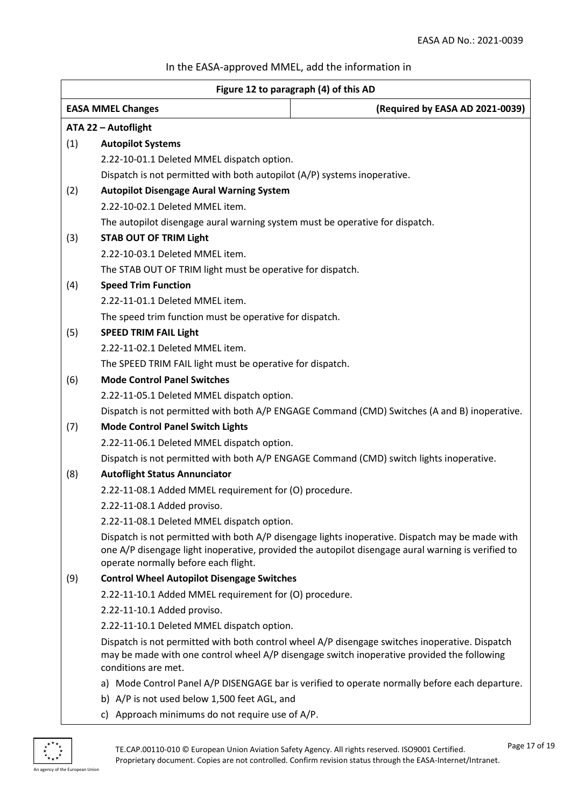# In the EASA-approved MMEL, add the information in

| Figure 12 to paragraph (4) of this AD |                                                                              |                                                                                                                                                                                                       |  |
|---------------------------------------|------------------------------------------------------------------------------|-------------------------------------------------------------------------------------------------------------------------------------------------------------------------------------------------------|--|
|                                       | <b>EASA MMEL Changes</b>                                                     | (Required by EASA AD 2021-0039)                                                                                                                                                                       |  |
|                                       | ATA 22 - Autoflight                                                          |                                                                                                                                                                                                       |  |
| (1)                                   | <b>Autopilot Systems</b>                                                     |                                                                                                                                                                                                       |  |
|                                       | 2.22-10-01.1 Deleted MMEL dispatch option.                                   |                                                                                                                                                                                                       |  |
|                                       | Dispatch is not permitted with both autopilot (A/P) systems inoperative.     |                                                                                                                                                                                                       |  |
| (2)                                   |                                                                              | <b>Autopilot Disengage Aural Warning System</b>                                                                                                                                                       |  |
|                                       | 2.22-10-02.1 Deleted MMEL item.                                              |                                                                                                                                                                                                       |  |
|                                       | The autopilot disengage aural warning system must be operative for dispatch. |                                                                                                                                                                                                       |  |
| (3)                                   | <b>STAB OUT OF TRIM Light</b>                                                |                                                                                                                                                                                                       |  |
|                                       | 2.22-10-03.1 Deleted MMEL item.                                              |                                                                                                                                                                                                       |  |
|                                       | The STAB OUT OF TRIM light must be operative for dispatch.                   |                                                                                                                                                                                                       |  |
| (4)                                   | <b>Speed Trim Function</b>                                                   |                                                                                                                                                                                                       |  |
|                                       | 2.22-11-01.1 Deleted MMEL item.                                              |                                                                                                                                                                                                       |  |
|                                       | The speed trim function must be operative for dispatch.                      |                                                                                                                                                                                                       |  |
| (5)                                   | <b>SPEED TRIM FAIL Light</b>                                                 |                                                                                                                                                                                                       |  |
|                                       | 2.22-11-02.1 Deleted MMEL item.                                              |                                                                                                                                                                                                       |  |
|                                       | The SPEED TRIM FAIL light must be operative for dispatch.                    |                                                                                                                                                                                                       |  |
| (6)                                   | <b>Mode Control Panel Switches</b>                                           |                                                                                                                                                                                                       |  |
|                                       | 2.22-11-05.1 Deleted MMEL dispatch option.                                   |                                                                                                                                                                                                       |  |
|                                       |                                                                              | Dispatch is not permitted with both A/P ENGAGE Command (CMD) Switches (A and B) inoperative.                                                                                                          |  |
| (7)                                   | <b>Mode Control Panel Switch Lights</b>                                      |                                                                                                                                                                                                       |  |
|                                       | 2.22-11-06.1 Deleted MMEL dispatch option.                                   |                                                                                                                                                                                                       |  |
|                                       |                                                                              | Dispatch is not permitted with both A/P ENGAGE Command (CMD) switch lights inoperative.                                                                                                               |  |
| (8)                                   | <b>Autoflight Status Annunciator</b>                                         |                                                                                                                                                                                                       |  |
|                                       | 2.22-11-08.1 Added MMEL requirement for (O) procedure.                       |                                                                                                                                                                                                       |  |
|                                       | 2.22-11-08.1 Added proviso.                                                  |                                                                                                                                                                                                       |  |
|                                       | 2.22-11-08.1 Deleted MMEL dispatch option.                                   |                                                                                                                                                                                                       |  |
|                                       | operate normally before each flight.                                         | Dispatch is not permitted with both A/P disengage lights inoperative. Dispatch may be made with<br>one A/P disengage light inoperative, provided the autopilot disengage aural warning is verified to |  |
| (9)                                   | <b>Control Wheel Autopilot Disengage Switches</b>                            |                                                                                                                                                                                                       |  |
|                                       | 2.22-11-10.1 Added MMEL requirement for (O) procedure.                       |                                                                                                                                                                                                       |  |
|                                       | 2.22-11-10.1 Added proviso.                                                  |                                                                                                                                                                                                       |  |
|                                       | 2.22-11-10.1 Deleted MMEL dispatch option.                                   |                                                                                                                                                                                                       |  |
|                                       | conditions are met.                                                          | Dispatch is not permitted with both control wheel A/P disengage switches inoperative. Dispatch<br>may be made with one control wheel A/P disengage switch inoperative provided the following          |  |
|                                       |                                                                              | a) Mode Control Panel A/P DISENGAGE bar is verified to operate normally before each departure.                                                                                                        |  |
|                                       | b) A/P is not used below 1,500 feet AGL, and                                 |                                                                                                                                                                                                       |  |
|                                       | c) Approach minimums do not require use of A/P.                              |                                                                                                                                                                                                       |  |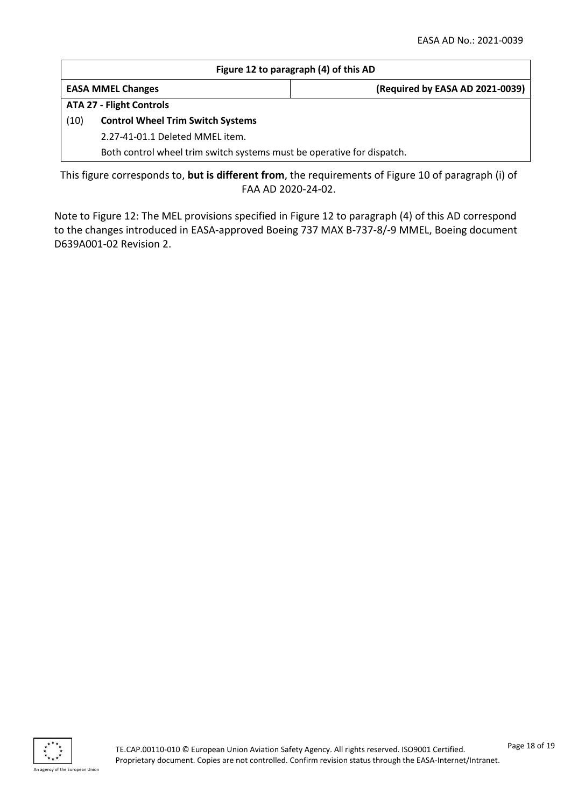| Figure 12 to paragraph (4) of this AD                                  |                          |                                 |
|------------------------------------------------------------------------|--------------------------|---------------------------------|
|                                                                        | <b>EASA MMEL Changes</b> | (Required by EASA AD 2021-0039) |
| <b>ATA 27 - Flight Controls</b>                                        |                          |                                 |
| (10)<br><b>Control Wheel Trim Switch Systems</b>                       |                          |                                 |
| 2.27-41-01.1 Deleted MMEL item.                                        |                          |                                 |
| Both control wheel trim switch systems must be operative for dispatch. |                          |                                 |
|                                                                        |                          |                                 |

This figure corresponds to, **but is different from**, the requirements of Figure 10 of paragraph (i) of FAA AD 2020-24-02.

Note to Figure 12: The MEL provisions specified in Figure 12 to paragraph (4) of this AD correspond to the changes introduced in EASA-approved Boeing 737 MAX B-737-8/-9 MMEL, Boeing document D639A001-02 Revision 2.